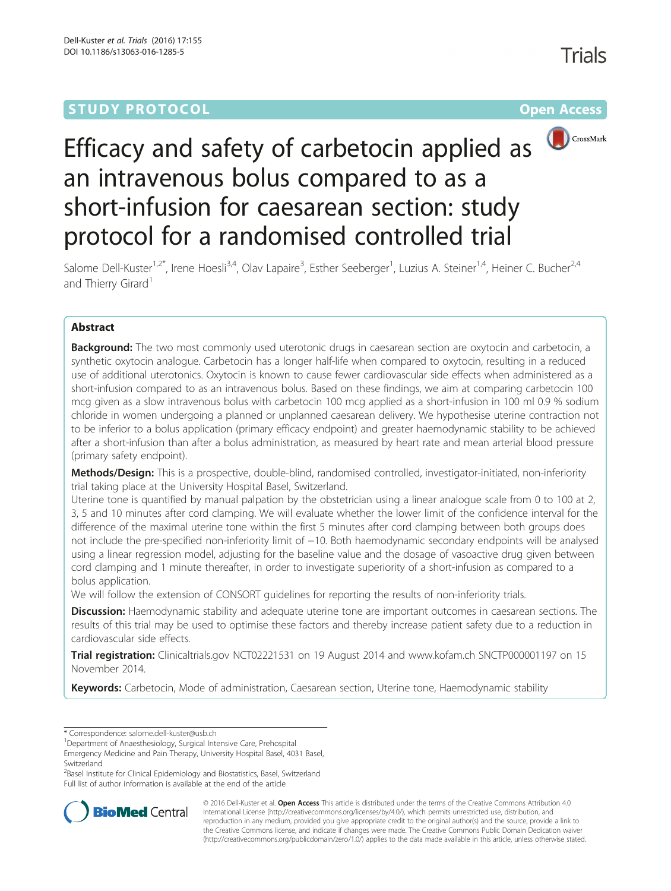## **STUDY PROTOCOL CONSUMING THE RESERVE ACCESS**



# Efficacy and safety of carbetocin applied as an intravenous bolus compared to as a short-infusion for caesarean section: study protocol for a randomised controlled trial

Salome Dell-Kuster<sup>1,2\*</sup>, Irene Hoesli<sup>3,4</sup>, Olav Lapaire<sup>3</sup>, Esther Seeberger<sup>1</sup>, Luzius A. Steiner<sup>1,4</sup>, Heiner C. Bucher<sup>2,4</sup> and Thierry Girard<sup>1</sup>

## Abstract

Background: The two most commonly used uterotonic drugs in caesarean section are oxytocin and carbetocin, a synthetic oxytocin analogue. Carbetocin has a longer half-life when compared to oxytocin, resulting in a reduced use of additional uterotonics. Oxytocin is known to cause fewer cardiovascular side effects when administered as a short-infusion compared to as an intravenous bolus. Based on these findings, we aim at comparing carbetocin 100 mcg given as a slow intravenous bolus with carbetocin 100 mcg applied as a short-infusion in 100 ml 0.9 % sodium chloride in women undergoing a planned or unplanned caesarean delivery. We hypothesise uterine contraction not to be inferior to a bolus application (primary efficacy endpoint) and greater haemodynamic stability to be achieved after a short-infusion than after a bolus administration, as measured by heart rate and mean arterial blood pressure (primary safety endpoint).

Methods/Design: This is a prospective, double-blind, randomised controlled, investigator-initiated, non-inferiority trial taking place at the University Hospital Basel, Switzerland.

Uterine tone is quantified by manual palpation by the obstetrician using a linear analogue scale from 0 to 100 at 2, 3, 5 and 10 minutes after cord clamping. We will evaluate whether the lower limit of the confidence interval for the difference of the maximal uterine tone within the first 5 minutes after cord clamping between both groups does not include the pre-specified non-inferiority limit of −10. Both haemodynamic secondary endpoints will be analysed using a linear regression model, adjusting for the baseline value and the dosage of vasoactive drug given between cord clamping and 1 minute thereafter, in order to investigate superiority of a short-infusion as compared to a bolus application.

We will follow the extension of CONSORT guidelines for reporting the results of non-inferiority trials.

Discussion: Haemodynamic stability and adequate uterine tone are important outcomes in caesarean sections. The results of this trial may be used to optimise these factors and thereby increase patient safety due to a reduction in cardiovascular side effects.

Trial registration: Clinicaltrials.gov [NCT02221531](https://clinicaltrials.gov/ct2/show/NCT02221531) on 19 August 2014 and www.kofam.ch [SNCTP000001197](http://www.kofam.ch/en/snctpportal/searching-for-a-clinical-trial/) on 15 November 2014.

Keywords: Carbetocin, Mode of administration, Caesarean section, Uterine tone, Haemodynamic stability

<sup>1</sup>Department of Anaesthesiology, Surgical Intensive Care, Prehospital Emergency Medicine and Pain Therapy, University Hospital Basel, 4031 Basel,

Switzerland

<sup>2</sup>Basel Institute for Clinical Epidemiology and Biostatistics, Basel, Switzerland Full list of author information is available at the end of the article



© 2016 Dell-Kuster et al. Open Access This article is distributed under the terms of the Creative Commons Attribution 4.0 International License [\(http://creativecommons.org/licenses/by/4.0/](http://creativecommons.org/licenses/by/4.0/)), which permits unrestricted use, distribution, and reproduction in any medium, provided you give appropriate credit to the original author(s) and the source, provide a link to the Creative Commons license, and indicate if changes were made. The Creative Commons Public Domain Dedication waiver [\(http://creativecommons.org/publicdomain/zero/1.0/](http://creativecommons.org/publicdomain/zero/1.0/)) applies to the data made available in this article, unless otherwise stated.

<sup>\*</sup> Correspondence: [salome.dell-kuster@usb.ch](mailto:salome.dell-kuster@usb.ch) <sup>1</sup>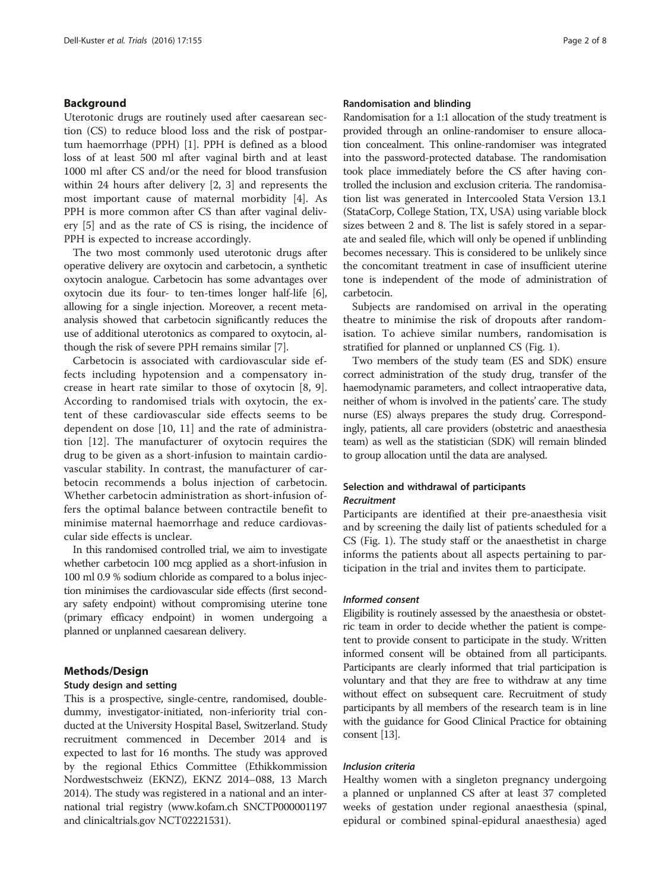## Background

Uterotonic drugs are routinely used after caesarean section (CS) to reduce blood loss and the risk of postpartum haemorrhage (PPH) [[1](#page-6-0)]. PPH is defined as a blood loss of at least 500 ml after vaginal birth and at least 1000 ml after CS and/or the need for blood transfusion within 24 hours after delivery [\[2](#page-6-0), [3](#page-6-0)] and represents the most important cause of maternal morbidity [\[4](#page-6-0)]. As PPH is more common after CS than after vaginal delivery [\[5](#page-6-0)] and as the rate of CS is rising, the incidence of PPH is expected to increase accordingly.

The two most commonly used uterotonic drugs after operative delivery are oxytocin and carbetocin, a synthetic oxytocin analogue. Carbetocin has some advantages over oxytocin due its four- to ten-times longer half-life [[6](#page-6-0)], allowing for a single injection. Moreover, a recent metaanalysis showed that carbetocin significantly reduces the use of additional uterotonics as compared to oxytocin, although the risk of severe PPH remains similar [\[7](#page-6-0)].

Carbetocin is associated with cardiovascular side effects including hypotension and a compensatory increase in heart rate similar to those of oxytocin [[8, 9](#page-6-0)]. According to randomised trials with oxytocin, the extent of these cardiovascular side effects seems to be dependent on dose [[10, 11](#page-6-0)] and the rate of administration [[12\]](#page-6-0). The manufacturer of oxytocin requires the drug to be given as a short-infusion to maintain cardiovascular stability. In contrast, the manufacturer of carbetocin recommends a bolus injection of carbetocin. Whether carbetocin administration as short-infusion offers the optimal balance between contractile benefit to minimise maternal haemorrhage and reduce cardiovascular side effects is unclear.

In this randomised controlled trial, we aim to investigate whether carbetocin 100 mcg applied as a short-infusion in 100 ml 0.9 % sodium chloride as compared to a bolus injection minimises the cardiovascular side effects (first secondary safety endpoint) without compromising uterine tone (primary efficacy endpoint) in women undergoing a planned or unplanned caesarean delivery.

## Methods/Design

#### Study design and setting

This is a prospective, single-centre, randomised, doubledummy, investigator-initiated, non-inferiority trial conducted at the University Hospital Basel, Switzerland. Study recruitment commenced in December 2014 and is expected to last for 16 months. The study was approved by the regional Ethics Committee (Ethikkommission Nordwestschweiz (EKNZ), EKNZ 2014–088, 13 March 2014). The study was registered in a national and an international trial registry [\(www.kofam.ch](http://www.kofam.ch/) SNCTP000001197 and clinicaltrials.gov NCT02221531).

## Randomisation and blinding

Randomisation for a 1:1 allocation of the study treatment is provided through an online-randomiser to ensure allocation concealment. This online-randomiser was integrated into the password-protected database. The randomisation took place immediately before the CS after having controlled the inclusion and exclusion criteria. The randomisation list was generated in Intercooled Stata Version 13.1 (StataCorp, College Station, TX, USA) using variable block sizes between 2 and 8. The list is safely stored in a separate and sealed file, which will only be opened if unblinding becomes necessary. This is considered to be unlikely since the concomitant treatment in case of insufficient uterine tone is independent of the mode of administration of carbetocin.

Subjects are randomised on arrival in the operating theatre to minimise the risk of dropouts after randomisation. To achieve similar numbers, randomisation is stratified for planned or unplanned CS (Fig. [1\)](#page-2-0).

Two members of the study team (ES and SDK) ensure correct administration of the study drug, transfer of the haemodynamic parameters, and collect intraoperative data, neither of whom is involved in the patients' care. The study nurse (ES) always prepares the study drug. Correspondingly, patients, all care providers (obstetric and anaesthesia team) as well as the statistician (SDK) will remain blinded to group allocation until the data are analysed.

## Selection and withdrawal of participants Recruitment

Participants are identified at their pre-anaesthesia visit and by screening the daily list of patients scheduled for a CS (Fig. [1\)](#page-2-0). The study staff or the anaesthetist in charge informs the patients about all aspects pertaining to participation in the trial and invites them to participate.

## Informed consent

Eligibility is routinely assessed by the anaesthesia or obstetric team in order to decide whether the patient is competent to provide consent to participate in the study. Written informed consent will be obtained from all participants. Participants are clearly informed that trial participation is voluntary and that they are free to withdraw at any time without effect on subsequent care. Recruitment of study participants by all members of the research team is in line with the guidance for Good Clinical Practice for obtaining consent [[13](#page-6-0)].

## Inclusion criteria

Healthy women with a singleton pregnancy undergoing a planned or unplanned CS after at least 37 completed weeks of gestation under regional anaesthesia (spinal, epidural or combined spinal-epidural anaesthesia) aged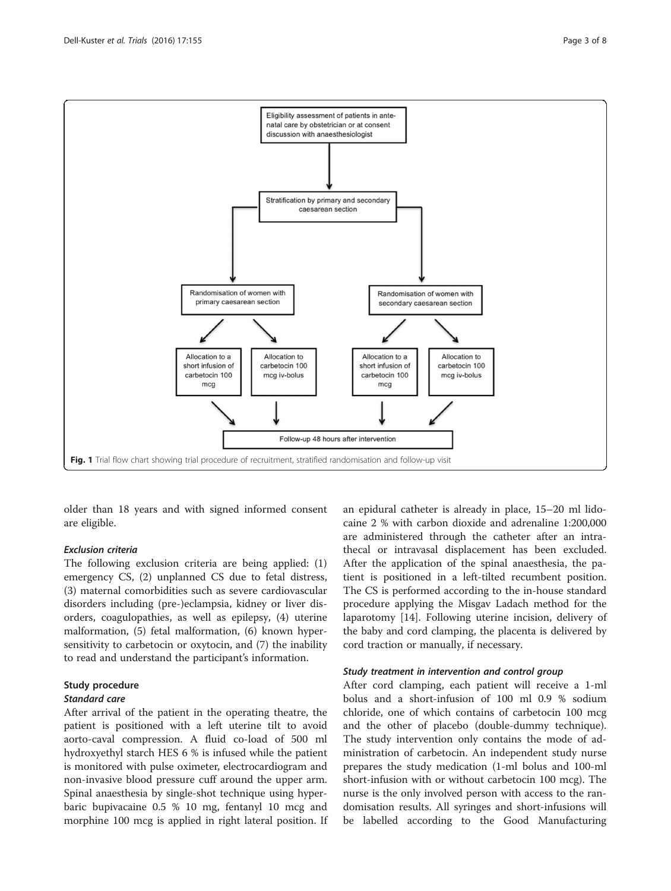<span id="page-2-0"></span>

older than 18 years and with signed informed consent are eligible.

## Exclusion criteria

The following exclusion criteria are being applied: (1) emergency CS, (2) unplanned CS due to fetal distress, (3) maternal comorbidities such as severe cardiovascular disorders including (pre-)eclampsia, kidney or liver disorders, coagulopathies, as well as epilepsy, (4) uterine malformation, (5) fetal malformation, (6) known hypersensitivity to carbetocin or oxytocin, and (7) the inability to read and understand the participant's information.

## Study procedure

## Standard care

After arrival of the patient in the operating theatre, the patient is positioned with a left uterine tilt to avoid aorto-caval compression. A fluid co-load of 500 ml hydroxyethyl starch HES 6 % is infused while the patient is monitored with pulse oximeter, electrocardiogram and non-invasive blood pressure cuff around the upper arm. Spinal anaesthesia by single-shot technique using hyperbaric bupivacaine 0.5 % 10 mg, fentanyl 10 mcg and morphine 100 mcg is applied in right lateral position. If an epidural catheter is already in place, 15–20 ml lidocaine 2 % with carbon dioxide and adrenaline 1:200,000 are administered through the catheter after an intrathecal or intravasal displacement has been excluded. After the application of the spinal anaesthesia, the patient is positioned in a left-tilted recumbent position. The CS is performed according to the in-house standard procedure applying the Misgav Ladach method for the laparotomy [[14](#page-6-0)]. Following uterine incision, delivery of the baby and cord clamping, the placenta is delivered by cord traction or manually, if necessary.

#### Study treatment in intervention and control group

After cord clamping, each patient will receive a 1-ml bolus and a short-infusion of 100 ml 0.9 % sodium chloride, one of which contains of carbetocin 100 mcg and the other of placebo (double-dummy technique). The study intervention only contains the mode of administration of carbetocin. An independent study nurse prepares the study medication (1-ml bolus and 100-ml short-infusion with or without carbetocin 100 mcg). The nurse is the only involved person with access to the randomisation results. All syringes and short-infusions will be labelled according to the Good Manufacturing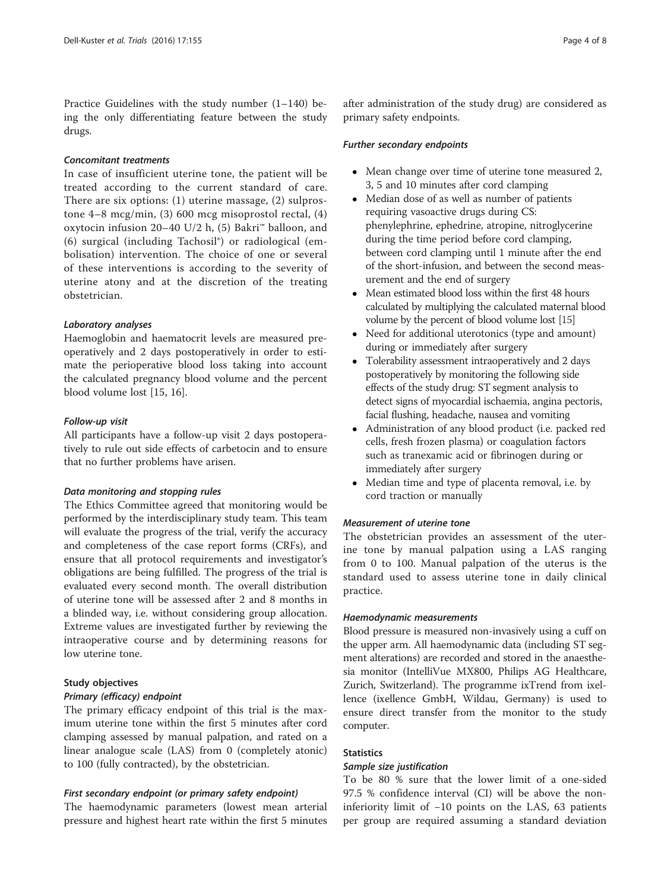Practice Guidelines with the study number (1–140) being the only differentiating feature between the study drugs.

## Concomitant treatments

In case of insufficient uterine tone, the patient will be treated according to the current standard of care. There are six options: (1) uterine massage, (2) sulprostone 4–8 mcg/min, (3) 600 mcg misoprostol rectal, (4) oxytocin infusion 20–40 U/2 h, (5) Bakri™ balloon, and (6) surgical (including Tachosil®) or radiological (embolisation) intervention. The choice of one or several of these interventions is according to the severity of uterine atony and at the discretion of the treating obstetrician.

## Laboratory analyses

Haemoglobin and haematocrit levels are measured preoperatively and 2 days postoperatively in order to estimate the perioperative blood loss taking into account the calculated pregnancy blood volume and the percent blood volume lost [\[15](#page-6-0), [16](#page-6-0)].

## Follow-up visit

All participants have a follow-up visit 2 days postoperatively to rule out side effects of carbetocin and to ensure that no further problems have arisen.

## Data monitoring and stopping rules

The Ethics Committee agreed that monitoring would be performed by the interdisciplinary study team. This team will evaluate the progress of the trial, verify the accuracy and completeness of the case report forms (CRFs), and ensure that all protocol requirements and investigator's obligations are being fulfilled. The progress of the trial is evaluated every second month. The overall distribution of uterine tone will be assessed after 2 and 8 months in a blinded way, i.e. without considering group allocation. Extreme values are investigated further by reviewing the intraoperative course and by determining reasons for low uterine tone.

## Study objectives

#### Primary (efficacy) endpoint

The primary efficacy endpoint of this trial is the maximum uterine tone within the first 5 minutes after cord clamping assessed by manual palpation, and rated on a linear analogue scale (LAS) from 0 (completely atonic) to 100 (fully contracted), by the obstetrician.

## First secondary endpoint (or primary safety endpoint)

The haemodynamic parameters (lowest mean arterial pressure and highest heart rate within the first 5 minutes

after administration of the study drug) are considered as primary safety endpoints.

#### Further secondary endpoints

- Mean change over time of uterine tone measured 2, 3, 5 and 10 minutes after cord clamping
- Median dose of as well as number of patients requiring vasoactive drugs during CS: phenylephrine, ephedrine, atropine, nitroglycerine during the time period before cord clamping, between cord clamping until 1 minute after the end of the short-infusion, and between the second measurement and the end of surgery
- Mean estimated blood loss within the first 48 hours calculated by multiplying the calculated maternal blood volume by the percent of blood volume lost [[15\]](#page-6-0)
- Need for additional uterotonics (type and amount) during or immediately after surgery
- Tolerability assessment intraoperatively and 2 days postoperatively by monitoring the following side effects of the study drug: ST segment analysis to detect signs of myocardial ischaemia, angina pectoris, facial flushing, headache, nausea and vomiting
- Administration of any blood product (i.e. packed red cells, fresh frozen plasma) or coagulation factors such as tranexamic acid or fibrinogen during or immediately after surgery
- Median time and type of placenta removal, i.e. by cord traction or manually

## Measurement of uterine tone

The obstetrician provides an assessment of the uterine tone by manual palpation using a LAS ranging from 0 to 100. Manual palpation of the uterus is the standard used to assess uterine tone in daily clinical practice.

## Haemodynamic measurements

Blood pressure is measured non-invasively using a cuff on the upper arm. All haemodynamic data (including ST segment alterations) are recorded and stored in the anaesthesia monitor (IntelliVue MX800, Philips AG Healthcare, Zurich, Switzerland). The programme ixTrend from ixellence (ixellence GmbH, Wildau, Germany) is used to ensure direct transfer from the monitor to the study computer.

## **Statistics**

## Sample size justification

To be 80 % sure that the lower limit of a one-sided 97.5 % confidence interval (CI) will be above the noninferiority limit of −10 points on the LAS, 63 patients per group are required assuming a standard deviation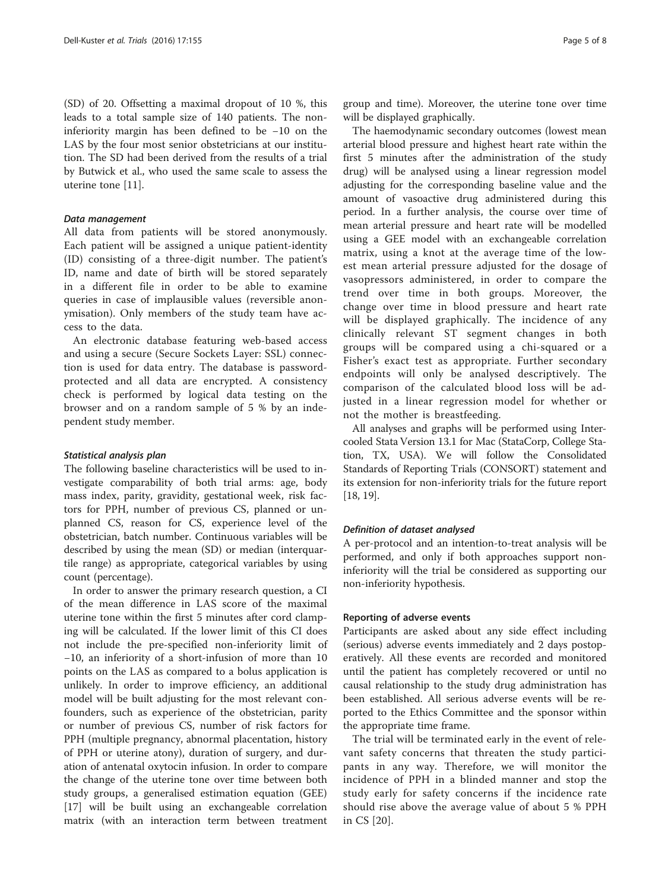(SD) of 20. Offsetting a maximal dropout of 10 %, this leads to a total sample size of 140 patients. The noninferiority margin has been defined to be −10 on the LAS by the four most senior obstetricians at our institution. The SD had been derived from the results of a trial by Butwick et al., who used the same scale to assess the uterine tone [[11\]](#page-6-0).

## Data management

All data from patients will be stored anonymously. Each patient will be assigned a unique patient-identity (ID) consisting of a three-digit number. The patient's ID, name and date of birth will be stored separately in a different file in order to be able to examine queries in case of implausible values (reversible anonymisation). Only members of the study team have access to the data.

An electronic database featuring web-based access and using a secure (Secure Sockets Layer: SSL) connection is used for data entry. The database is passwordprotected and all data are encrypted. A consistency check is performed by logical data testing on the browser and on a random sample of 5 % by an independent study member.

#### Statistical analysis plan

The following baseline characteristics will be used to investigate comparability of both trial arms: age, body mass index, parity, gravidity, gestational week, risk factors for PPH, number of previous CS, planned or unplanned CS, reason for CS, experience level of the obstetrician, batch number. Continuous variables will be described by using the mean (SD) or median (interquartile range) as appropriate, categorical variables by using count (percentage).

In order to answer the primary research question, a CI of the mean difference in LAS score of the maximal uterine tone within the first 5 minutes after cord clamping will be calculated. If the lower limit of this CI does not include the pre-specified non-inferiority limit of −10, an inferiority of a short-infusion of more than 10 points on the LAS as compared to a bolus application is unlikely. In order to improve efficiency, an additional model will be built adjusting for the most relevant confounders, such as experience of the obstetrician, parity or number of previous CS, number of risk factors for PPH (multiple pregnancy, abnormal placentation, history of PPH or uterine atony), duration of surgery, and duration of antenatal oxytocin infusion. In order to compare the change of the uterine tone over time between both study groups, a generalised estimation equation (GEE) [[17\]](#page-7-0) will be built using an exchangeable correlation matrix (with an interaction term between treatment group and time). Moreover, the uterine tone over time will be displayed graphically.

The haemodynamic secondary outcomes (lowest mean arterial blood pressure and highest heart rate within the first 5 minutes after the administration of the study drug) will be analysed using a linear regression model adjusting for the corresponding baseline value and the amount of vasoactive drug administered during this period. In a further analysis, the course over time of mean arterial pressure and heart rate will be modelled using a GEE model with an exchangeable correlation matrix, using a knot at the average time of the lowest mean arterial pressure adjusted for the dosage of vasopressors administered, in order to compare the trend over time in both groups. Moreover, the change over time in blood pressure and heart rate will be displayed graphically. The incidence of any clinically relevant ST segment changes in both groups will be compared using a chi-squared or a Fisher's exact test as appropriate. Further secondary endpoints will only be analysed descriptively. The comparison of the calculated blood loss will be adjusted in a linear regression model for whether or not the mother is breastfeeding.

All analyses and graphs will be performed using Intercooled Stata Version 13.1 for Mac (StataCorp, College Station, TX, USA). We will follow the Consolidated Standards of Reporting Trials (CONSORT) statement and its extension for non-inferiority trials for the future report [[18](#page-7-0), [19\]](#page-7-0).

## Definition of dataset analysed

A per-protocol and an intention-to-treat analysis will be performed, and only if both approaches support noninferiority will the trial be considered as supporting our non-inferiority hypothesis.

#### Reporting of adverse events

Participants are asked about any side effect including (serious) adverse events immediately and 2 days postoperatively. All these events are recorded and monitored until the patient has completely recovered or until no causal relationship to the study drug administration has been established. All serious adverse events will be reported to the Ethics Committee and the sponsor within the appropriate time frame.

The trial will be terminated early in the event of relevant safety concerns that threaten the study participants in any way. Therefore, we will monitor the incidence of PPH in a blinded manner and stop the study early for safety concerns if the incidence rate should rise above the average value of about 5 % PPH in CS [[20\]](#page-7-0).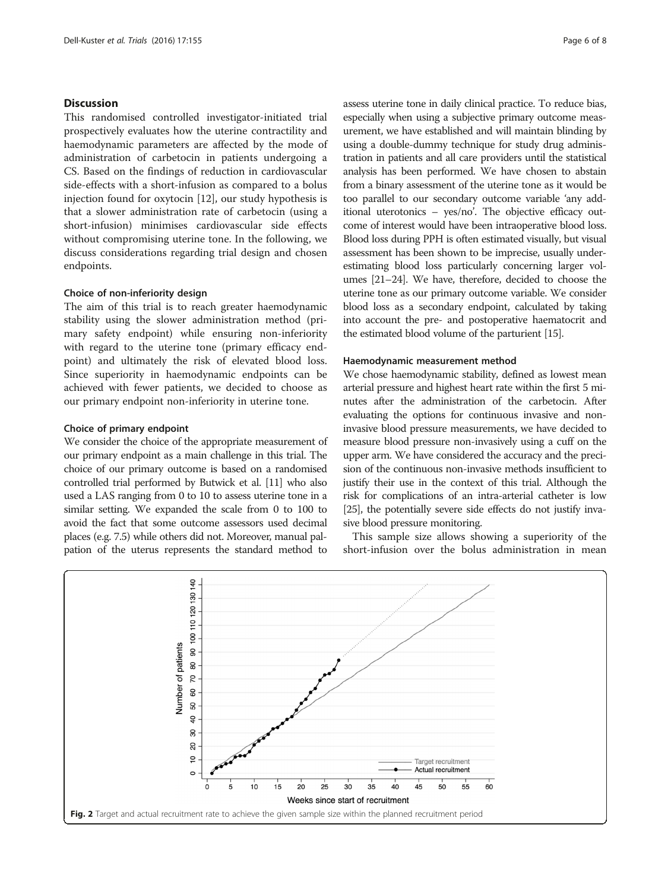## <span id="page-5-0"></span>**Discussion**

This randomised controlled investigator-initiated trial prospectively evaluates how the uterine contractility and haemodynamic parameters are affected by the mode of administration of carbetocin in patients undergoing a CS. Based on the findings of reduction in cardiovascular side-effects with a short-infusion as compared to a bolus injection found for oxytocin [[12\]](#page-6-0), our study hypothesis is that a slower administration rate of carbetocin (using a short-infusion) minimises cardiovascular side effects without compromising uterine tone. In the following, we discuss considerations regarding trial design and chosen endpoints.

#### Choice of non-inferiority design

The aim of this trial is to reach greater haemodynamic stability using the slower administration method (primary safety endpoint) while ensuring non-inferiority with regard to the uterine tone (primary efficacy endpoint) and ultimately the risk of elevated blood loss. Since superiority in haemodynamic endpoints can be achieved with fewer patients, we decided to choose as our primary endpoint non-inferiority in uterine tone.

## Choice of primary endpoint

We consider the choice of the appropriate measurement of our primary endpoint as a main challenge in this trial. The choice of our primary outcome is based on a randomised controlled trial performed by Butwick et al. [[11](#page-6-0)] who also used a LAS ranging from 0 to 10 to assess uterine tone in a similar setting. We expanded the scale from 0 to 100 to avoid the fact that some outcome assessors used decimal places (e.g. 7.5) while others did not. Moreover, manual palpation of the uterus represents the standard method to assess uterine tone in daily clinical practice. To reduce bias, especially when using a subjective primary outcome measurement, we have established and will maintain blinding by using a double-dummy technique for study drug administration in patients and all care providers until the statistical analysis has been performed. We have chosen to abstain from a binary assessment of the uterine tone as it would be too parallel to our secondary outcome variable 'any additional uterotonics – yes/no'. The objective efficacy outcome of interest would have been intraoperative blood loss. Blood loss during PPH is often estimated visually, but visual assessment has been shown to be imprecise, usually underestimating blood loss particularly concerning larger volumes [[21](#page-7-0)–[24](#page-7-0)]. We have, therefore, decided to choose the uterine tone as our primary outcome variable. We consider blood loss as a secondary endpoint, calculated by taking into account the pre- and postoperative haematocrit and the estimated blood volume of the parturient [\[15\]](#page-6-0).

## Haemodynamic measurement method

We chose haemodynamic stability, defined as lowest mean arterial pressure and highest heart rate within the first 5 minutes after the administration of the carbetocin. After evaluating the options for continuous invasive and noninvasive blood pressure measurements, we have decided to measure blood pressure non-invasively using a cuff on the upper arm. We have considered the accuracy and the precision of the continuous non-invasive methods insufficient to justify their use in the context of this trial. Although the risk for complications of an intra-arterial catheter is low [[25](#page-7-0)], the potentially severe side effects do not justify invasive blood pressure monitoring.

This sample size allows showing a superiority of the short-infusion over the bolus administration in mean

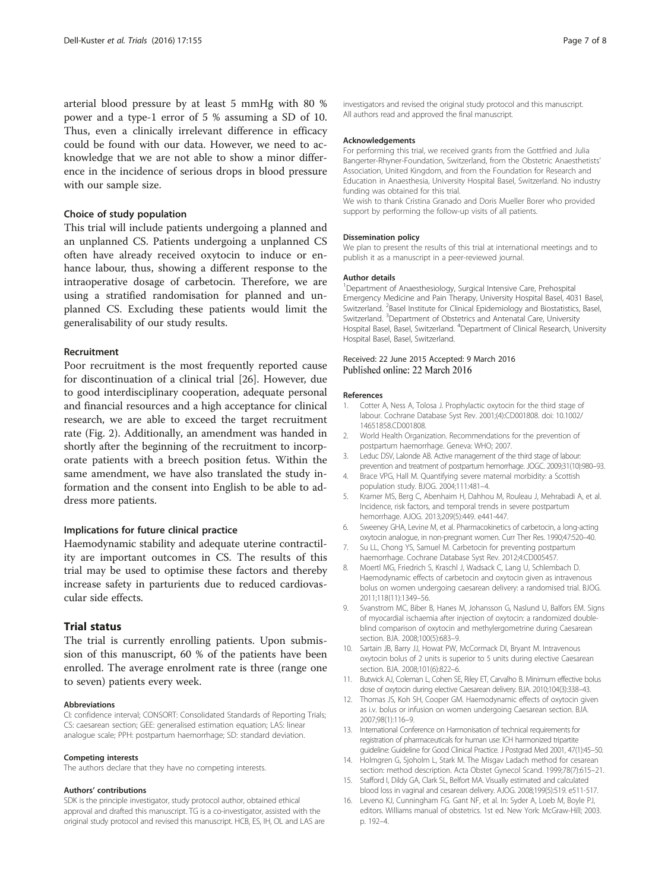<span id="page-6-0"></span>arterial blood pressure by at least 5 mmHg with 80 % power and a type-1 error of 5 % assuming a SD of 10. Thus, even a clinically irrelevant difference in efficacy could be found with our data. However, we need to acknowledge that we are not able to show a minor difference in the incidence of serious drops in blood pressure with our sample size.

## Choice of study population

This trial will include patients undergoing a planned and an unplanned CS. Patients undergoing a unplanned CS often have already received oxytocin to induce or enhance labour, thus, showing a different response to the intraoperative dosage of carbetocin. Therefore, we are using a stratified randomisation for planned and unplanned CS. Excluding these patients would limit the generalisability of our study results.

### Recruitment

Poor recruitment is the most frequently reported cause for discontinuation of a clinical trial [[26\]](#page-7-0). However, due to good interdisciplinary cooperation, adequate personal and financial resources and a high acceptance for clinical research, we are able to exceed the target recruitment rate (Fig. [2\)](#page-5-0). Additionally, an amendment was handed in shortly after the beginning of the recruitment to incorporate patients with a breech position fetus. Within the same amendment, we have also translated the study information and the consent into English to be able to address more patients.

#### Implications for future clinical practice

Haemodynamic stability and adequate uterine contractility are important outcomes in CS. The results of this trial may be used to optimise these factors and thereby increase safety in parturients due to reduced cardiovascular side effects.

## Trial status

The trial is currently enrolling patients. Upon submission of this manuscript, 60 % of the patients have been enrolled. The average enrolment rate is three (range one to seven) patients every week.

#### Abbreviations

CI: confidence interval; CONSORT: Consolidated Standards of Reporting Trials; CS: caesarean section; GEE: generalised estimation equation; LAS: linear analogue scale; PPH: postpartum haemorrhage; SD: standard deviation.

#### Competing interests

The authors declare that they have no competing interests.

#### Authors' contributions

SDK is the principle investigator, study protocol author, obtained ethical approval and drafted this manuscript. TG is a co-investigator, assisted with the original study protocol and revised this manuscript. HCB, ES, IH, OL and LAS are

investigators and revised the original study protocol and this manuscript. All authors read and approved the final manuscript.

#### Acknowledgements

For performing this trial, we received grants from the Gottfried and Julia Bangerter-Rhyner-Foundation, Switzerland, from the Obstetric Anaesthetists' Association, United Kingdom, and from the Foundation for Research and Education in Anaesthesia, University Hospital Basel, Switzerland. No industry funding was obtained for this trial.

We wish to thank Cristina Granado and Doris Mueller Borer who provided support by performing the follow-up visits of all patients.

#### Dissemination policy

We plan to present the results of this trial at international meetings and to publish it as a manuscript in a peer-reviewed journal.

#### Author details

<sup>1</sup>Department of Anaesthesiology, Surgical Intensive Care, Prehospital Emergency Medicine and Pain Therapy, University Hospital Basel, 4031 Basel, Switzerland. <sup>2</sup> Basel Institute for Clinical Epidemiology and Biostatistics, Basel, Switzerland. <sup>3</sup>Department of Obstetrics and Antenatal Care, University Hospital Basel, Basel, Switzerland. <sup>4</sup>Department of Clinical Research, University Hospital Basel, Basel, Switzerland.

#### Received: 22 June 2015 Accepted: 9 March 2016 Published online: 22 March 2016

#### References

- 1. Cotter A, Ness A, Tolosa J. Prophylactic oxytocin for the third stage of labour. Cochrane Database Syst Rev. 2001;(4):CD001808. doi: [10.1002/](http://dx.doi.org/10.1002/14651858.CD001808) [14651858.CD001808](http://dx.doi.org/10.1002/14651858.CD001808).
- 2. World Health Organization. Recommendations for the prevention of postpartum haemorrhage. Geneva: WHO; 2007.
- 3. Leduc DSV, Lalonde AB. Active management of the third stage of labour: prevention and treatment of postpartum hemorrhage. JOGC. 2009;31(10):980–93.
- 4. Brace VPG, Hall M. Quantifying severe maternal morbidity: a Scottish population study. BJOG. 2004;111:481–4.
- 5. Kramer MS, Berg C, Abenhaim H, Dahhou M, Rouleau J, Mehrabadi A, et al. Incidence, risk factors, and temporal trends in severe postpartum hemorrhage. AJOG. 2013;209(5):449. e441-447.
- 6. Sweeney GHA, Levine M, et al. Pharmacokinetics of carbetocin, a long-acting oxytocin analogue, in non-pregnant women. Curr Ther Res. 1990;47:520–40.
- 7. Su LL, Chong YS, Samuel M. Carbetocin for preventing postpartum haemorrhage. Cochrane Database Syst Rev. 2012;4:CD005457.
- 8. Moertl MG, Friedrich S, Kraschl J, Wadsack C, Lang U, Schlembach D. Haemodynamic effects of carbetocin and oxytocin given as intravenous bolus on women undergoing caesarean delivery: a randomised trial. BJOG. 2011;118(11):1349–56.
- 9. Svanstrom MC, Biber B, Hanes M, Johansson G, Naslund U, Balfors EM. Signs of myocardial ischaemia after injection of oxytocin: a randomized doubleblind comparison of oxytocin and methylergometrine during Caesarean section. BJA. 2008;100(5):683–9.
- 10. Sartain JB, Barry JJ, Howat PW, McCormack DI, Bryant M. Intravenous oxytocin bolus of 2 units is superior to 5 units during elective Caesarean section. BJA. 2008;101(6):822–6.
- 11. Butwick AJ, Coleman L, Cohen SE, Riley ET, Carvalho B. Minimum effective bolus dose of oxytocin during elective Caesarean delivery. BJA. 2010;104(3):338–43.
- 12. Thomas JS, Koh SH, Cooper GM. Haemodynamic effects of oxytocin given as i.v. bolus or infusion on women undergoing Caesarean section. BJA. 2007;98(1):116–9.
- 13. International Conference on Harmonisation of technical requirements for registration of pharmaceuticals for human use: ICH harmonized tripartite guideline: Guideline for Good Clinical Practice. J Postgrad Med 2001, 47(1):45–50.
- 14. Holmgren G, Sjoholm L, Stark M. The Misgav Ladach method for cesarean section: method description. Acta Obstet Gynecol Scand. 1999;78(7):615–21.
- 15. Stafford I, Dildy GA, Clark SL, Belfort MA. Visually estimated and calculated blood loss in vaginal and cesarean delivery. AJOG. 2008;199(5):519. e511-517.
- 16. Leveno KJ, Cunningham FG. Gant NF, et al. In: Syder A, Loeb M, Boyle PJ, editors. Williams manual of obstetrics. 1st ed. New York: McGraw-Hill; 2003. p. 192–4.